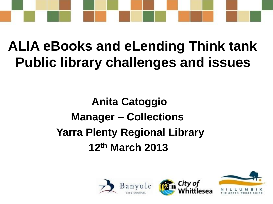

### **ALIA eBooks and eLending Think tank Public library challenges and issues**

### **Anita Catoggio Manager – Collections Yarra Plenty Regional Library 12th March 2013**



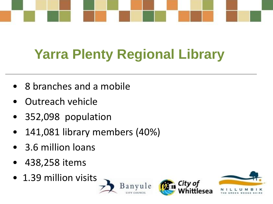

# **Yarra Plenty Regional Library**

- 8 branches and a mobile
- Outreach vehicle
- 352,098 population
- 141,081 library members (40%)
- 3.6 million loans
- 438,258 items
- 1.39 million visits





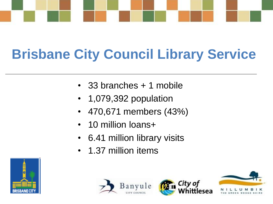

# **Brisbane City Council Library Service**

- 33 branches + 1 mobile
- 1,079,392 population
- 470,671 members (43%)
- 10 million loans+
- 6.41 million library visits
- 1.37 million items







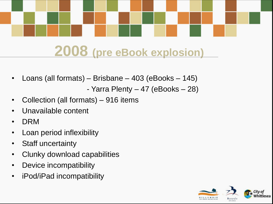

### **2008 (pre eBook explosion)**

- Loans (all formats) Brisbane 403 (eBooks 145)
	- Yarra Plenty 47 (eBooks 28)
- Collection (all formats) 916 items
- Unavailable content
- DRM
- Loan period inflexibility
- Staff uncertainty
- Clunky download capabilities
- Device incompatibility
- iPod/iPad incompatibility

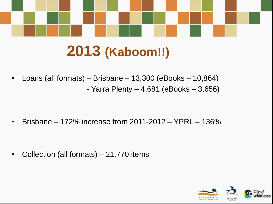

### **2013 (Kaboom!!)**

- Loans (all formats) Brisbane 13,300 (eBooks 10,864) - Yarra Plenty  $-4,681$  (eBooks  $-3,656$ )
	-
- Brisbane 172% increase from 2011-2012 YPRL 136%

• Collection (all formats) – 21,770 items

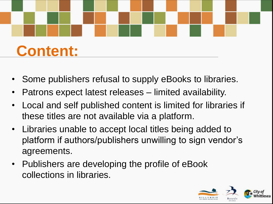

- Some publishers refusal to supply eBooks to libraries.
- Patrons expect latest releases limited availability.
- Local and self published content is limited for libraries if these titles are not available via a platform.
- Libraries unable to accept local titles being added to platform if authors/publishers unwilling to sign vendor's agreements.
- Publishers are developing the profile of eBook collections in libraries.

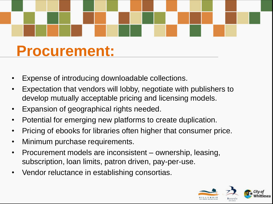### **Procurement:**

- Expense of introducing downloadable collections.
- Expectation that vendors will lobby, negotiate with publishers to develop mutually acceptable pricing and licensing models.
- Expansion of geographical rights needed.
- Potential for emerging new platforms to create duplication.
- Pricing of ebooks for libraries often higher that consumer price.
- Minimum purchase requirements.
- Procurement models are inconsistent ownership, leasing, subscription, loan limits, patron driven, pay-per-use.
- Vendor reluctance in establishing consortias.

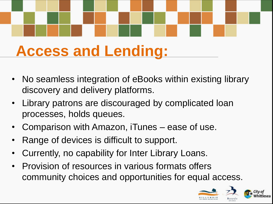# **Access and Lending:**

- No seamless integration of eBooks within existing library discovery and delivery platforms.
- Library patrons are discouraged by complicated loan processes, holds queues.
- Comparison with Amazon, iTunes ease of use.
- Range of devices is difficult to support.
- Currently, no capability for Inter Library Loans.
- Provision of resources in various formats offers community choices and opportunities for equal access.

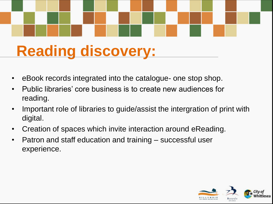# **Reading discovery:**

- eBook records integrated into the catalogue- one stop shop.
- Public libraries' core business is to create new audiences for reading.
- Important role of libraries to guide/assist the intergration of print with digital.
- Creation of spaces which invite interaction around eReading.
- Patron and staff education and training successful user experience.

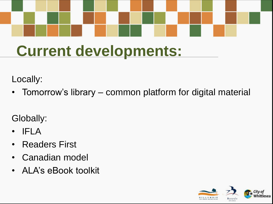# **Current developments:**

Locally:

• Tomorrow's library – common platform for digital material

Globally:

- IFLA
- Readers First
- Canadian model
- ALA's eBook toolkit

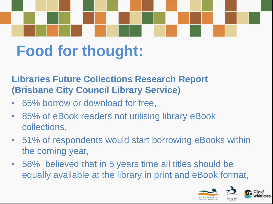# **Food for thought:**

### **Libraries Future Collections Research Report (Brisbane City Council Library Service)**

- 65% borrow or download for free,
- 85% of eBook readers not utilising library eBook collections,
- 51% of respondents would start borrowing eBooks within the coming year,
- 58% believed that in 5 years time all titles should be equally available at the library in print and eBook format,